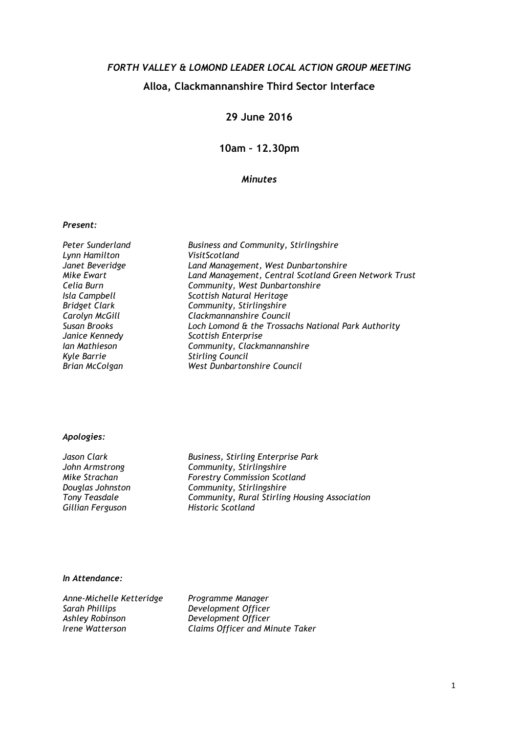# FORTH VALLEY & LOMOND LEADER LOCAL ACTION GROUP MEETING Alloa, Clackmannanshire Third Sector Interface

## 29 June 2016

10am – 12.30pm

### Minutes

#### Present:

Peter Sunderland Business and Community, Stirlingshire Lynn Hamilton<br>Janet Beveridge Janet Beveridge Land Management, West Dunbartonshire Land Management, Central Scotland Green Network Trust Celia Burn Community, West Dunbartonshire Isla Campbell Scottish Natural Heritage<br>Bridget Clark Scottish Natural Heritage Bridget Clark Community, Stirlingshire<br>Carolyn McGill Carolyn Clackmannanshire Counci Carolyn McGill Clackmannanshire Council Loch Lomond & the Trossachs National Park Authority Janice Kennedy Scottish Enterprise Ian Mathieson Community, Clackmannanshire Kyle Barrie Stirling Council West Dunbartonshire Council

#### Apologies:

Gillian Ferguson Historic Scotland

Jason Clark **Business**, Stirling Enterprise Park John Armstrong Community, Stirlingshire Mike Strachan **Forestry Commission Scotland** Douglas Johnston Community, Stirlingshire Tony Teasdale Community, Rural Stirling Housing Association

#### In Attendance:

Anne-Michelle Ketteridge Programme Manager<br>Sarah Phillips Programme Development Officer Sarah Phillips<br>
Ashley Robinson<br>
Development Officer Ashley Robinson<br>Irene Watterson Claims Officer and M.

Claims Officer and Minute Taker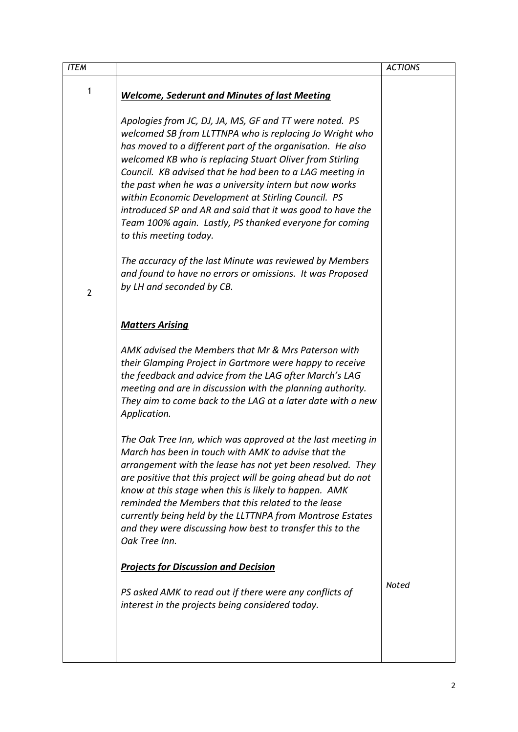| <b>ITEM</b>    |                                                                                                                                                                                                                                                                                                                                                                                                                                                                                                                                                                              | <b>ACTIONS</b> |
|----------------|------------------------------------------------------------------------------------------------------------------------------------------------------------------------------------------------------------------------------------------------------------------------------------------------------------------------------------------------------------------------------------------------------------------------------------------------------------------------------------------------------------------------------------------------------------------------------|----------------|
| 1              | <b>Welcome, Sederunt and Minutes of last Meeting</b>                                                                                                                                                                                                                                                                                                                                                                                                                                                                                                                         |                |
|                | Apologies from JC, DJ, JA, MS, GF and TT were noted. PS<br>welcomed SB from LLTTNPA who is replacing Jo Wright who<br>has moved to a different part of the organisation. He also<br>welcomed KB who is replacing Stuart Oliver from Stirling<br>Council. KB advised that he had been to a LAG meeting in<br>the past when he was a university intern but now works<br>within Economic Development at Stirling Council. PS<br>introduced SP and AR and said that it was good to have the<br>Team 100% again. Lastly, PS thanked everyone for coming<br>to this meeting today. |                |
| $\overline{2}$ | The accuracy of the last Minute was reviewed by Members<br>and found to have no errors or omissions. It was Proposed<br>by LH and seconded by CB.                                                                                                                                                                                                                                                                                                                                                                                                                            |                |
|                | <b>Matters Arising</b>                                                                                                                                                                                                                                                                                                                                                                                                                                                                                                                                                       |                |
|                | AMK advised the Members that Mr & Mrs Paterson with<br>their Glamping Project in Gartmore were happy to receive<br>the feedback and advice from the LAG after March's LAG<br>meeting and are in discussion with the planning authority.<br>They aim to come back to the LAG at a later date with a new<br>Application.                                                                                                                                                                                                                                                       |                |
|                | The Oak Tree Inn, which was approved at the last meeting in<br>March has been in touch with AMK to advise that the<br>arrangement with the lease has not yet been resolved. They<br>are positive that this project will be going ahead but do not<br>know at this stage when this is likely to happen. AMK<br>reminded the Members that this related to the lease<br>currently being held by the LLTTNPA from Montrose Estates<br>and they were discussing how best to transfer this to the<br>Oak Tree Inn.                                                                 |                |
|                | <b>Projects for Discussion and Decision</b>                                                                                                                                                                                                                                                                                                                                                                                                                                                                                                                                  |                |
|                | PS asked AMK to read out if there were any conflicts of<br>interest in the projects being considered today.                                                                                                                                                                                                                                                                                                                                                                                                                                                                  | Noted          |
|                |                                                                                                                                                                                                                                                                                                                                                                                                                                                                                                                                                                              |                |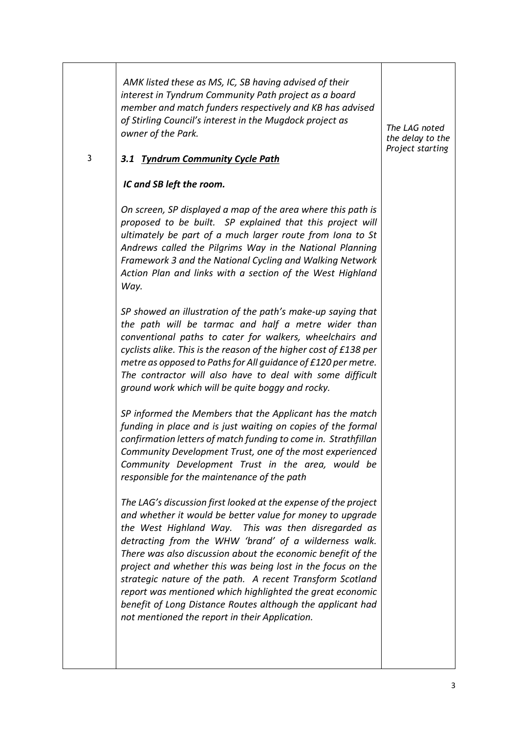| 3 | AMK listed these as MS, IC, SB having advised of their<br>interest in Tyndrum Community Path project as a board<br>member and match funders respectively and KB has advised<br>of Stirling Council's interest in the Mugdock project as<br>owner of the Park.<br>3.1 Tyndrum Community Cycle Path                                                                                                                                                                                                                                                                                                                    | The LAG noted<br>the delay to the<br>Project starting |
|---|----------------------------------------------------------------------------------------------------------------------------------------------------------------------------------------------------------------------------------------------------------------------------------------------------------------------------------------------------------------------------------------------------------------------------------------------------------------------------------------------------------------------------------------------------------------------------------------------------------------------|-------------------------------------------------------|
|   | IC and SB left the room.                                                                                                                                                                                                                                                                                                                                                                                                                                                                                                                                                                                             |                                                       |
|   | On screen, SP displayed a map of the area where this path is<br>proposed to be built. SP explained that this project will<br>ultimately be part of a much larger route from Iona to St<br>Andrews called the Pilgrims Way in the National Planning<br>Framework 3 and the National Cycling and Walking Network<br>Action Plan and links with a section of the West Highland<br>Way.                                                                                                                                                                                                                                  |                                                       |
|   | SP showed an illustration of the path's make-up saying that<br>the path will be tarmac and half a metre wider than<br>conventional paths to cater for walkers, wheelchairs and<br>cyclists alike. This is the reason of the higher cost of £138 per<br>metre as opposed to Paths for All guidance of £120 per metre.<br>The contractor will also have to deal with some difficult<br>ground work which will be quite boggy and rocky.                                                                                                                                                                                |                                                       |
|   | SP informed the Members that the Applicant has the match<br>funding in place and is just waiting on copies of the formal<br>confirmation letters of match funding to come in. Strathfillan<br>Community Development Trust, one of the most experienced<br>Community Development Trust in the area, would be<br>responsible for the maintenance of the path                                                                                                                                                                                                                                                           |                                                       |
|   | The LAG's discussion first looked at the expense of the project<br>and whether it would be better value for money to upgrade<br>the West Highland Way. This was then disregarded as<br>detracting from the WHW 'brand' of a wilderness walk.<br>There was also discussion about the economic benefit of the<br>project and whether this was being lost in the focus on the<br>strategic nature of the path. A recent Transform Scotland<br>report was mentioned which highlighted the great economic<br>benefit of Long Distance Routes although the applicant had<br>not mentioned the report in their Application. |                                                       |
|   |                                                                                                                                                                                                                                                                                                                                                                                                                                                                                                                                                                                                                      |                                                       |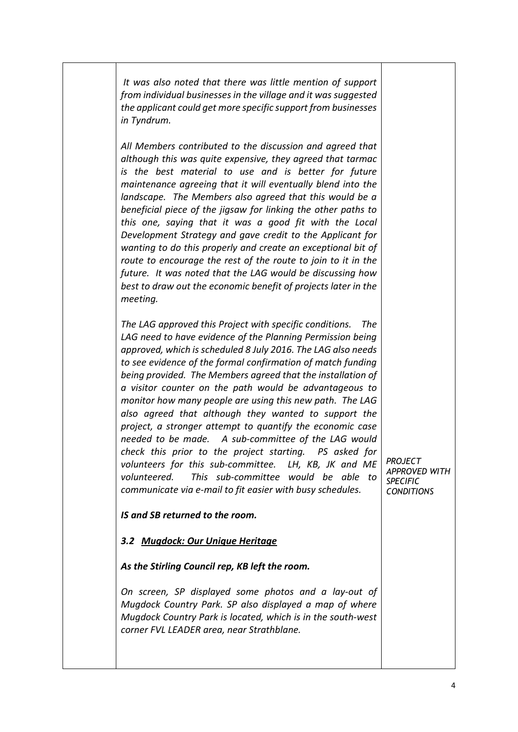It was also noted that there was little mention of support from individual businesses in the village and it was suggested the applicant could get more specific support from businesses in Tyndrum.

All Members contributed to the discussion and agreed that although this was quite expensive, they agreed that tarmac is the best material to use and is better for future maintenance agreeing that it will eventually blend into the landscape. The Members also agreed that this would be a beneficial piece of the jigsaw for linking the other paths to this one, saying that it was a good fit with the Local Development Strategy and gave credit to the Applicant for wanting to do this properly and create an exceptional bit of route to encourage the rest of the route to join to it in the future. It was noted that the LAG would be discussing how best to draw out the economic benefit of projects later in the meeting.

The LAG approved this Project with specific conditions. The LAG need to have evidence of the Planning Permission being approved, which is scheduled 8 July 2016. The LAG also needs to see evidence of the formal confirmation of match funding being provided. The Members agreed that the installation of a visitor counter on the path would be advantageous to monitor how many people are using this new path. The LAG also agreed that although they wanted to support the project, a stronger attempt to quantify the economic case needed to be made. A sub-committee of the LAG would check this prior to the project starting. PS asked for volunteers for this sub-committee. LH, KB, JK and ME volunteered. This sub-committee would be able to communicate via e-mail to fit easier with busy schedules.

IS and SB returned to the room.

## 3.2 Mugdock: Our Unique Heritage

As the Stirling Council rep, KB left the room.

On screen, SP displayed some photos and a lay-out of Mugdock Country Park. SP also displayed a map of where Mugdock Country Park is located, which is in the south-west corner FVL LEADER area, near Strathblane.

PROJECT APPROVED WITH **SPECIFIC CONDITIONS**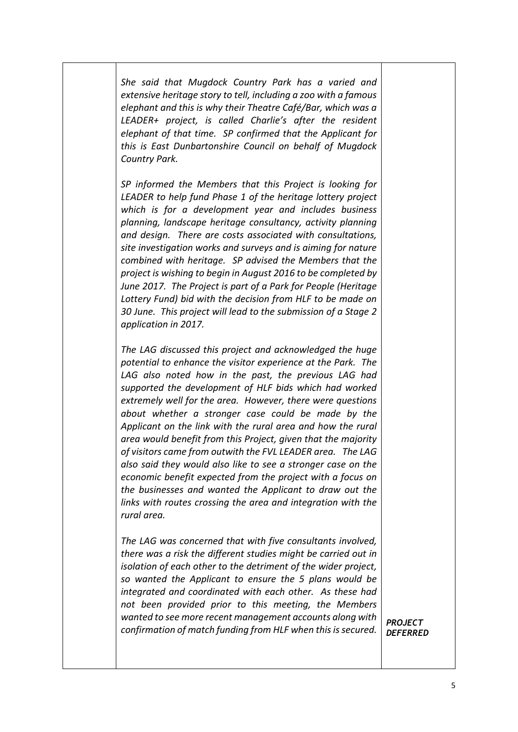She said that Mugdock Country Park has a varied and extensive heritage story to tell, including a zoo with a famous elephant and this is why their Theatre Café/Bar, which was a LEADER+ project, is called Charlie's after the resident elephant of that time. SP confirmed that the Applicant for this is East Dunbartonshire Council on behalf of Mugdock Country Park.

SP informed the Members that this Project is looking for LEADER to help fund Phase 1 of the heritage lottery project which is for a development year and includes business planning, landscape heritage consultancy, activity planning and design. There are costs associated with consultations, site investigation works and surveys and is aiming for nature combined with heritage. SP advised the Members that the project is wishing to begin in August 2016 to be completed by June 2017. The Project is part of a Park for People (Heritage Lottery Fund) bid with the decision from HLF to be made on 30 June. This project will lead to the submission of a Stage 2 application in 2017.

The LAG discussed this project and acknowledged the huge potential to enhance the visitor experience at the Park. The LAG also noted how in the past, the previous LAG had supported the development of HLF bids which had worked extremely well for the area. However, there were questions about whether a stronger case could be made by the Applicant on the link with the rural area and how the rural area would benefit from this Project, given that the majority of visitors came from outwith the FVL LEADER area. The LAG also said they would also like to see a stronger case on the economic benefit expected from the project with a focus on the businesses and wanted the Applicant to draw out the links with routes crossing the area and integration with the rural area.

The LAG was concerned that with five consultants involved, there was a risk the different studies might be carried out in isolation of each other to the detriment of the wider project, so wanted the Applicant to ensure the 5 plans would be integrated and coordinated with each other. As these had not been provided prior to this meeting, the Members wanted to see more recent management accounts along with confirmation of match funding from HLF when this is secured.

**PROJECT DEFERRED**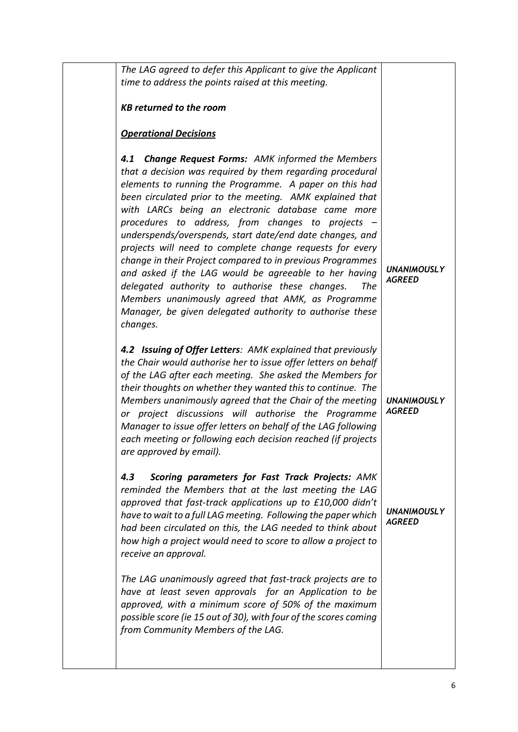| The LAG agreed to defer this Applicant to give the Applicant<br>time to address the points raised at this meeting.                                                                                                                                                                                                                                                                                                                                                                                                                                                                                                                                                                                                                                                                              |                                     |
|-------------------------------------------------------------------------------------------------------------------------------------------------------------------------------------------------------------------------------------------------------------------------------------------------------------------------------------------------------------------------------------------------------------------------------------------------------------------------------------------------------------------------------------------------------------------------------------------------------------------------------------------------------------------------------------------------------------------------------------------------------------------------------------------------|-------------------------------------|
| <b>KB returned to the room</b>                                                                                                                                                                                                                                                                                                                                                                                                                                                                                                                                                                                                                                                                                                                                                                  |                                     |
| <b>Operational Decisions</b>                                                                                                                                                                                                                                                                                                                                                                                                                                                                                                                                                                                                                                                                                                                                                                    |                                     |
| <b>Change Request Forms:</b> AMK informed the Members<br>4.1<br>that a decision was required by them regarding procedural<br>elements to running the Programme. A paper on this had<br>been circulated prior to the meeting. AMK explained that<br>with LARCs being an electronic database came more<br>procedures to address, from changes to projects -<br>underspends/overspends, start date/end date changes, and<br>projects will need to complete change requests for every<br>change in their Project compared to in previous Programmes<br>and asked if the LAG would be agreeable to her having<br>delegated authority to authorise these changes.<br>The<br>Members unanimously agreed that AMK, as Programme<br>Manager, be given delegated authority to authorise these<br>changes. | <b>UNANIMOUSLY</b><br><b>AGREED</b> |
| 4.2 Issuing of Offer Letters: AMK explained that previously<br>the Chair would authorise her to issue offer letters on behalf<br>of the LAG after each meeting. She asked the Members for<br>their thoughts on whether they wanted this to continue. The<br>Members unanimously agreed that the Chair of the meeting<br>or project discussions will authorise the Programme<br>Manager to issue offer letters on behalf of the LAG following<br>each meeting or following each decision reached (if projects<br>are approved by email).                                                                                                                                                                                                                                                         | <b>UNANIMOUSLY</b><br><b>AGREED</b> |
| Scoring parameters for Fast Track Projects: AMK<br>4.3<br>reminded the Members that at the last meeting the LAG<br>approved that fast-track applications up to £10,000 didn't<br>have to wait to a full LAG meeting. Following the paper which<br>had been circulated on this, the LAG needed to think about<br>how high a project would need to score to allow a project to<br>receive an approval.                                                                                                                                                                                                                                                                                                                                                                                            | <b>UNANIMOUSLY</b><br><b>AGREED</b> |
| The LAG unanimously agreed that fast-track projects are to<br>have at least seven approvals for an Application to be<br>approved, with a minimum score of 50% of the maximum<br>possible score (ie 15 out of 30), with four of the scores coming<br>from Community Members of the LAG.                                                                                                                                                                                                                                                                                                                                                                                                                                                                                                          |                                     |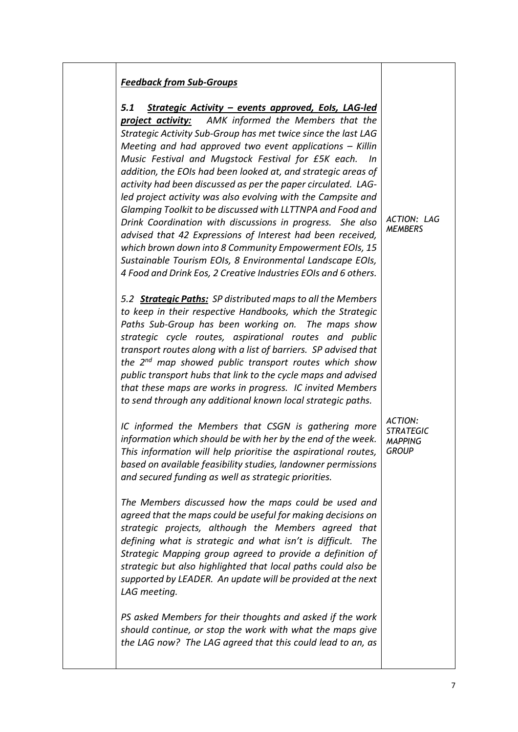| Strategic Activity - events approved, EoIs, LAG-led<br>5.1<br><b>project activity:</b> AMK informed the Members that the |                  |
|--------------------------------------------------------------------------------------------------------------------------|------------------|
| Strategic Activity Sub-Group has met twice since the last LAG                                                            |                  |
| Meeting and had approved two event applications $-$ Killin                                                               |                  |
| Music Festival and Mugstock Festival for £5K each.<br>ln                                                                 |                  |
| addition, the EOIs had been looked at, and strategic areas of                                                            |                  |
| activity had been discussed as per the paper circulated. LAG-                                                            |                  |
| led project activity was also evolving with the Campsite and                                                             |                  |
| Glamping Toolkit to be discussed with LLTTNPA and Food and                                                               |                  |
| Drink Coordination with discussions in progress. She also                                                                | ACTION: LAG      |
| advised that 42 Expressions of Interest had been received,                                                               | <b>MEMBERS</b>   |
| which brown down into 8 Community Empowerment EOIs, 15                                                                   |                  |
| Sustainable Tourism EOIs, 8 Environmental Landscape EOIs,                                                                |                  |
| 4 Food and Drink Eos, 2 Creative Industries EOIs and 6 others.                                                           |                  |
|                                                                                                                          |                  |
| 5.2 <b>Strategic Paths:</b> SP distributed maps to all the Members                                                       |                  |
| to keep in their respective Handbooks, which the Strategic                                                               |                  |
| Paths Sub-Group has been working on. The maps show                                                                       |                  |
| strategic cycle routes, aspirational routes and public                                                                   |                  |
| transport routes along with a list of barriers. SP advised that                                                          |                  |
| the 2 <sup>nd</sup> map showed public transport routes which show                                                        |                  |
| public transport hubs that link to the cycle maps and advised                                                            |                  |
| that these maps are works in progress. IC invited Members                                                                |                  |
| to send through any additional known local strategic paths.                                                              |                  |
|                                                                                                                          | <b>ACTION:</b>   |
| IC informed the Members that CSGN is gathering more                                                                      | <b>STRATEGIC</b> |
| information which should be with her by the end of the week.                                                             | <b>MAPPING</b>   |
| This information will help prioritise the aspirational routes,                                                           | <b>GROUP</b>     |
| based on available feasibility studies, landowner permissions<br>and secured funding as well as strategic priorities.    |                  |
|                                                                                                                          |                  |
| The Members discussed how the maps could be used and                                                                     |                  |
| agreed that the maps could be useful for making decisions on                                                             |                  |
| strategic projects, although the Members agreed that                                                                     |                  |
| defining what is strategic and what isn't is difficult.<br>The                                                           |                  |
| Strategic Mapping group agreed to provide a definition of                                                                |                  |
| strategic but also highlighted that local paths could also be                                                            |                  |
| supported by LEADER. An update will be provided at the next                                                              |                  |
| LAG meeting.                                                                                                             |                  |
|                                                                                                                          |                  |
| PS asked Members for their thoughts and asked if the work                                                                |                  |
| should continue, or stop the work with what the maps give                                                                |                  |
| the LAG now? The LAG agreed that this could lead to an, as                                                               |                  |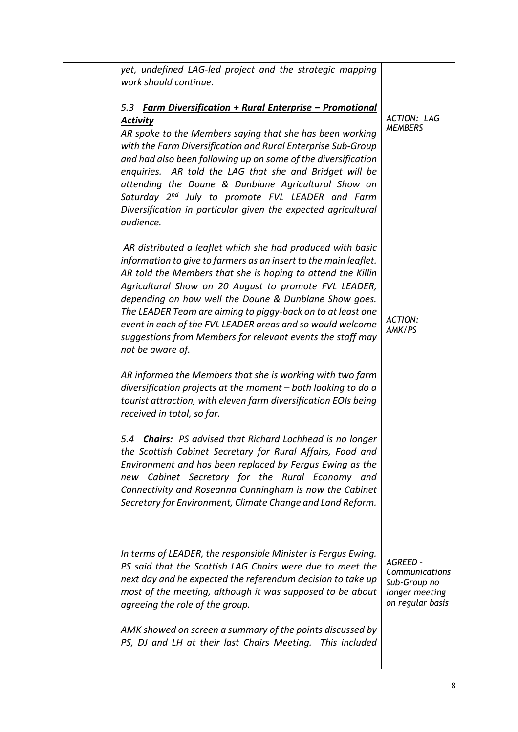| yet, undefined LAG-led project and the strategic mapping<br>work should continue.                                                                                                                                                                                                                                                                                                                                                                                                                                                                    |                                                                                  |
|------------------------------------------------------------------------------------------------------------------------------------------------------------------------------------------------------------------------------------------------------------------------------------------------------------------------------------------------------------------------------------------------------------------------------------------------------------------------------------------------------------------------------------------------------|----------------------------------------------------------------------------------|
| <u> Farm Diversification + Rural Enterprise – Promotional</u><br>5.3<br><b>Activity</b><br>AR spoke to the Members saying that she has been working<br>with the Farm Diversification and Rural Enterprise Sub-Group<br>and had also been following up on some of the diversification<br>enquiries. AR told the LAG that she and Bridget will be<br>attending the Doune & Dunblane Agricultural Show on<br>Saturday 2 <sup>nd</sup> July to promote FVL LEADER and Farm<br>Diversification in particular given the expected agricultural<br>audience. | ACTION: LAG<br><b>MEMBERS</b>                                                    |
| AR distributed a leaflet which she had produced with basic<br>information to give to farmers as an insert to the main leaflet.<br>AR told the Members that she is hoping to attend the Killin<br>Agricultural Show on 20 August to promote FVL LEADER,<br>depending on how well the Doune & Dunblane Show goes.<br>The LEADER Team are aiming to piggy-back on to at least one<br>event in each of the FVL LEADER areas and so would welcome<br>suggestions from Members for relevant events the staff may<br>not be aware of.                       | <b>ACTION:</b><br>AMK/PS                                                         |
| AR informed the Members that she is working with two farm<br>diversification projects at the moment - both looking to do a<br>tourist attraction, with eleven farm diversification EOIs being<br>received in total, so far.                                                                                                                                                                                                                                                                                                                          |                                                                                  |
| <b>Chairs:</b> PS advised that Richard Lochhead is no longer<br>5.4<br>the Scottish Cabinet Secretary for Rural Affairs, Food and<br>Environment and has been replaced by Fergus Ewing as the<br>new Cabinet Secretary for the Rural Economy and<br>Connectivity and Roseanna Cunningham is now the Cabinet<br>Secretary for Environment, Climate Change and Land Reform.                                                                                                                                                                            |                                                                                  |
| In terms of LEADER, the responsible Minister is Fergus Ewing.<br>PS said that the Scottish LAG Chairs were due to meet the<br>next day and he expected the referendum decision to take up<br>most of the meeting, although it was supposed to be about<br>agreeing the role of the group.                                                                                                                                                                                                                                                            | AGREED -<br>Communications<br>Sub-Group no<br>longer meeting<br>on regular basis |
| AMK showed on screen a summary of the points discussed by<br>PS, DJ and LH at their last Chairs Meeting. This included                                                                                                                                                                                                                                                                                                                                                                                                                               |                                                                                  |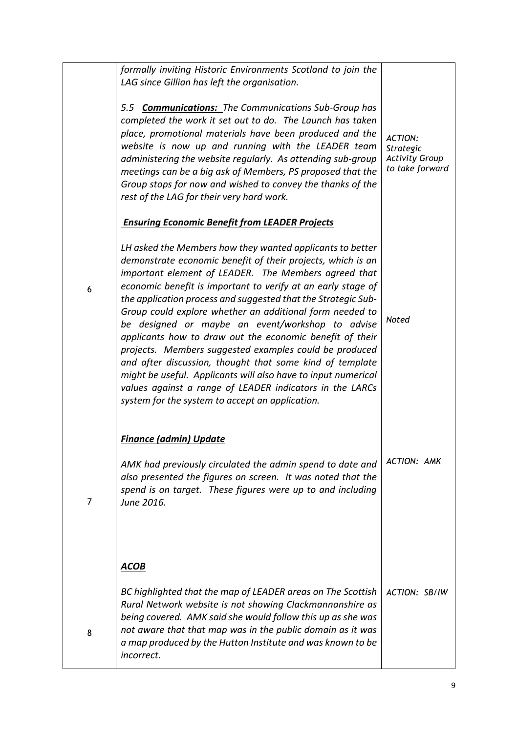|   | formally inviting Historic Environments Scotland to join the<br>LAG since Gillian has left the organisation.                                                                                                                                                                                                                                                                                                                                                                                                                                                                                                                                                                                                                                                                                        |                                                                         |
|---|-----------------------------------------------------------------------------------------------------------------------------------------------------------------------------------------------------------------------------------------------------------------------------------------------------------------------------------------------------------------------------------------------------------------------------------------------------------------------------------------------------------------------------------------------------------------------------------------------------------------------------------------------------------------------------------------------------------------------------------------------------------------------------------------------------|-------------------------------------------------------------------------|
|   | 5.5 <b>Communications:</b> The Communications Sub-Group has<br>completed the work it set out to do. The Launch has taken<br>place, promotional materials have been produced and the<br>website is now up and running with the LEADER team<br>administering the website regularly. As attending sub-group<br>meetings can be a big ask of Members, PS proposed that the<br>Group stops for now and wished to convey the thanks of the<br>rest of the LAG for their very hard work.                                                                                                                                                                                                                                                                                                                   | <b>ACTION:</b><br>Strategic<br><b>Activity Group</b><br>to take forward |
|   | <b>Ensuring Economic Benefit from LEADER Projects</b>                                                                                                                                                                                                                                                                                                                                                                                                                                                                                                                                                                                                                                                                                                                                               |                                                                         |
| 6 | LH asked the Members how they wanted applicants to better<br>demonstrate economic benefit of their projects, which is an<br>important element of LEADER. The Members agreed that<br>economic benefit is important to verify at an early stage of<br>the application process and suggested that the Strategic Sub-<br>Group could explore whether an additional form needed to<br>be designed or maybe an event/workshop to advise<br>applicants how to draw out the economic benefit of their<br>projects. Members suggested examples could be produced<br>and after discussion, thought that some kind of template<br>might be useful. Applicants will also have to input numerical<br>values against a range of LEADER indicators in the LARCs<br>system for the system to accept an application. | Noted                                                                   |
|   | <b>Finance (admin) Update</b><br>AMK had previously circulated the admin spend to date and                                                                                                                                                                                                                                                                                                                                                                                                                                                                                                                                                                                                                                                                                                          | <b>ACTION: AMK</b>                                                      |
| 7 | also presented the figures on screen. It was noted that the<br>spend is on target. These figures were up to and including<br>June 2016.                                                                                                                                                                                                                                                                                                                                                                                                                                                                                                                                                                                                                                                             |                                                                         |
|   | <b>ACOB</b>                                                                                                                                                                                                                                                                                                                                                                                                                                                                                                                                                                                                                                                                                                                                                                                         |                                                                         |
| 8 | BC highlighted that the map of LEADER areas on The Scottish<br>Rural Network website is not showing Clackmannanshire as<br>being covered. AMK said she would follow this up as she was<br>not aware that that map was in the public domain as it was<br>a map produced by the Hutton Institute and was known to be<br>incorrect.                                                                                                                                                                                                                                                                                                                                                                                                                                                                    | ACTION: SB/IW                                                           |